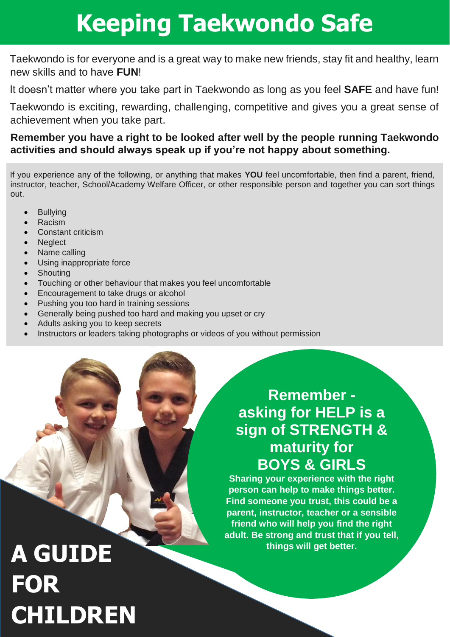### **Keeping Taekwondo Safe**

Taekwondo is for everyone and is a great way to make new friends, stay fit and healthy, learn new skills and to have **FUN**!

It doesn't matter where you take part in Taekwondo as long as you feel **SAFE** and have fun!

Taekwondo is exciting, rewarding, challenging, competitive and gives you a great sense of achievement when you take part.

#### **Remember you have a right to be looked after well by the people running Taekwondo activities and should always speak up if you're not happy about something.**

If you experience any of the following, or anything that makes **YOU** feel uncomfortable, then find a parent, friend, instructor, teacher, School/Academy Welfare Officer, or other responsible person and together you can sort things out.

- Bullying
- Racism
- Constant criticism
- Neglect
- Name calling
- Using inappropriate force
- Shouting
- Touching or other behaviour that makes you feel uncomfortable
- Encouragement to take drugs or alcohol
- Pushing you too hard in training sessions
- Generally being pushed too hard and making you upset or cry
- Adults asking you to keep secrets
- Instructors or leaders taking photographs or videos of you without permission

#### **Remember asking for HELP is a sign of STRENGTH & maturity for BOYS & GIRLS**

**Sharing your experience with the right person can help to make things better. Find someone you trust, this could be a parent, instructor, teacher or a sensible friend who will help you find the right adult. Be strong and trust that if you tell, things will get better.**

# **A GUIDE FOR CHILDREN**